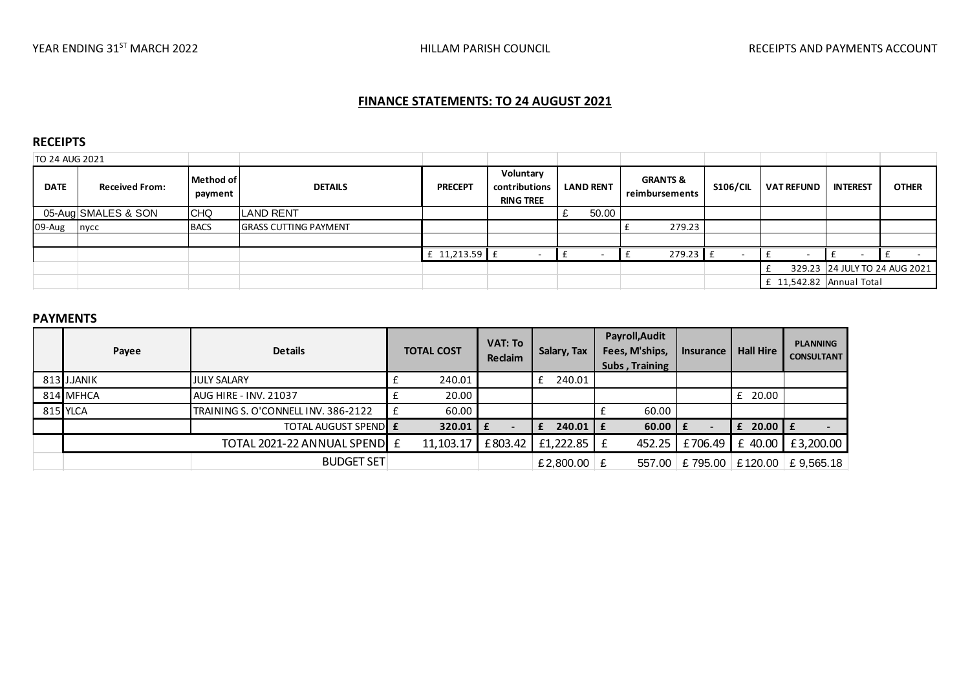# **FINANCE STATEMENTS: TO 24 AUGUST 2021**

### **RECEIPTS**

| TO 24 AUG 2021 |                       |                      |                              |                |                                                |                  |                                       |                 |                          |                               |              |
|----------------|-----------------------|----------------------|------------------------------|----------------|------------------------------------------------|------------------|---------------------------------------|-----------------|--------------------------|-------------------------------|--------------|
| <b>DATE</b>    | <b>Received From:</b> | Method of<br>payment | <b>DETAILS</b>               | <b>PRECEPT</b> | Voluntary<br>contributions<br><b>RING TREE</b> | <b>LAND RENT</b> | <b>GRANTS &amp;</b><br>reimbursements | <b>S106/CIL</b> | <b>VAT REFUND</b>        | <b>INTEREST</b>               | <b>OTHER</b> |
|                | 05-Aug SMALES & SON   | <b>CHQ</b>           | <b>LAND RENT</b>             |                |                                                | 50.00            |                                       |                 |                          |                               |              |
| 09-Aug         | nycc                  | <b>BACS</b>          | <b>GRASS CUTTING PAYMENT</b> |                |                                                |                  | 279.23                                |                 |                          |                               |              |
|                |                       |                      |                              |                |                                                |                  |                                       |                 |                          |                               |              |
|                |                       |                      |                              | $11,213.59$ f  |                                                |                  | 279.23                                |                 |                          | . .                           |              |
|                |                       |                      |                              |                |                                                |                  |                                       |                 |                          | 329.23 24 JULY TO 24 AUG 2021 |              |
|                |                       |                      |                              |                |                                                |                  |                                       |                 | £ 11,542.82 Annual Total |                               |              |

#### **PAYMENTS**

| Payee      | <b>Details</b>                      | <b>TOTAL COST</b> | <b>VAT: To</b><br><b>Reclaim</b> | Salary, Tax   | Payroll, Audit<br>Fees, M'ships,<br>Subs, Training | <b>Insurance</b>         | <b>Hall Hire</b> | <b>PLANNING</b><br><b>CONSULTANT</b> |
|------------|-------------------------------------|-------------------|----------------------------------|---------------|----------------------------------------------------|--------------------------|------------------|--------------------------------------|
| 813 JJANIK | <b>JULY SALARY</b>                  | 240.01            |                                  | 240.01        |                                                    |                          |                  |                                      |
| 814 MFHCA  | <b>AUG HIRE - INV. 21037</b>        | 20.00             |                                  |               |                                                    |                          | £ 20.00          |                                      |
| 815 YLCA   | TRAINING S. O'CONNELL INV. 386-2122 | 60.00             |                                  |               | 60.00                                              |                          |                  |                                      |
|            | <b>TOTAL AUGUST SPENDLE</b>         | 320.01   $E$      | $\overline{\phantom{a}}$         | $240.01$   £  | $60.00$   £                                        | $\overline{\phantom{a}}$ | $£$ 20.00 $E$    |                                      |
|            | TOTAL 2021-22 ANNUAL SPEND  £       | 11,103.17         | £803.42                          | £1,222.85 $E$ | 452.25                                             | £706.49                  | £ 40.00          | £3,200.00                            |
|            | <b>BUDGET SET</b>                   |                   |                                  | £2,800.00 £   | 557.00                                             | £795.00                  | £120.00          | £9,565.18                            |